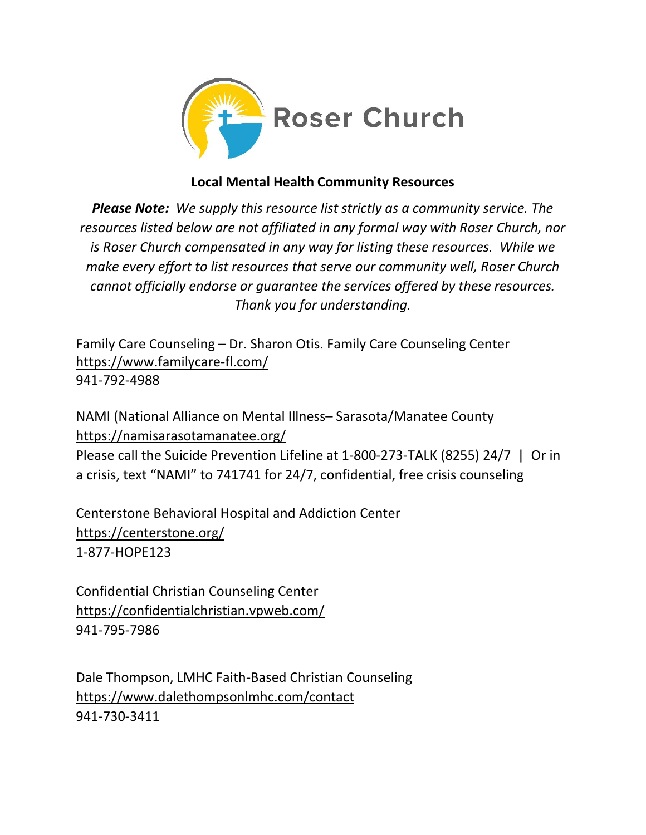

## **Local Mental Health Community Resources**

*Please Note: We supply this resource list strictly as a community service. The resources listed below are not affiliated in any formal way with Roser Church, nor is Roser Church compensated in any way for listing these resources. While we make every effort to list resources that serve our community well, Roser Church cannot officially endorse or guarantee the services offered by these resources. Thank you for understanding.* 

Family Care Counseling – Dr. Sharon Otis. Family Care Counseling Center <https://www.familycare-fl.com/> 941-792-4988

NAMI (National Alliance on Mental Illness– Sarasota/Manatee County <https://namisarasotamanatee.org/>

Please call the Suicide Prevention Lifeline at 1-800-273-TALK (8255) 24/7 | Or in a crisis, text "NAMI" to 741741 for 24/7, confidential, free crisis counseling

Centerstone Behavioral Hospital and Addiction Center <https://centerstone.org/> 1-877-HOPE123

Confidential Christian Counseling Center <https://confidentialchristian.vpweb.com/> 941-795-7986

Dale Thompson, LMHC Faith-Based Christian Counseling <https://www.dalethompsonlmhc.com/contact> 941-730-3411